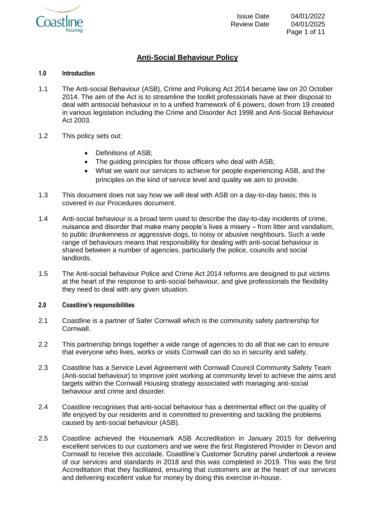

# **Anti-Social Behaviour Policy**

# **1.0 Introduction**

- 1.1 The Anti-social Behaviour (ASB), Crime and Policing Act 2014 became law on 20 October 2014. The aim of the Act is to streamline the toolkit professionals have at their disposal to deal with antisocial behaviour in to a unified framework of 6 powers, down from 19 created in various legislation including the Crime and Disorder Act 1998 and Anti-Social Behaviour Act 2003.
- 1.2 This policy sets out:
	- Definitions of ASB;
	- The quiding principles for those officers who deal with ASB;
	- What we want our services to achieve for people experiencing ASB, and the principles on the kind of service level and quality we aim to provide.
- 1.3 This document does not say how we will deal with ASB on a day-to-day basis; this is covered in our Procedures document.
- 1.4 Anti-social behaviour is a broad term used to describe the day-to-day incidents of crime, nuisance and disorder that make many people's lives a misery – from litter and vandalism, to public drunkenness or aggressive dogs, to noisy or abusive neighbours. Such a wide range of behaviours means that responsibility for dealing with anti-social behaviour is shared between a number of agencies, particularly the police, councils and social landlords.
- 1.5 The Anti-social behaviour Police and Crime Act 2014 reforms are designed to put victims at the heart of the response to anti-social behaviour, and give professionals the flexibility they need to deal with any given situation.

#### **2.0 Coastline's responsibilities**

- 2.1 Coastline is a partner of Safer Cornwall which is the community safety partnership for Cornwall.
- 2.2 This partnership brings together a wide range of agencies to do all that we can to ensure that everyone who lives, works or visits Cornwall can do so in security and safety.
- 2.3 Coastline has a Service Level Agreement with Cornwall Council Community Safety Team (Anti-social behaviour) to improve joint working at community level to achieve the aims and targets within the Cornwall Housing strategy associated with managing anti-social behaviour and crime and disorder.
- 2.4 Coastline recognises that anti-social behaviour has a detrimental effect on the quality of life enjoyed by our residents and is committed to preventing and tackling the problems caused by anti-social behaviour (ASB).
- 2.5 Coastline achieved the Housemark ASB Accreditation in January 2015 for delivering excellent services to our customers and we were the first Registered Provider in Devon and Cornwall to receive this accolade. Coastline's Customer Scrutiny panel undertook a review of our services and standards in 2018 and this was completed in 2019. This was the first Accreditation that they facilitated, ensuring that customers are at the heart of our services and delivering excellent value for money by doing this exercise in-house.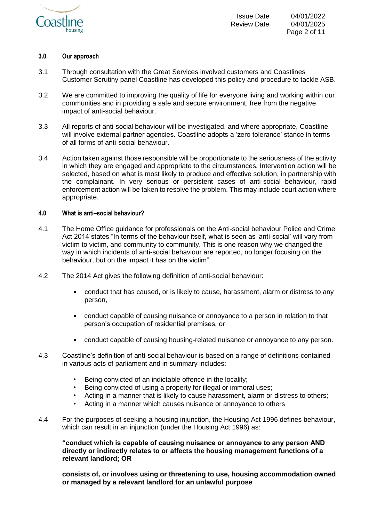

# **3.0 Our approach**

- 3.1 Through consultation with the Great Services involved customers and Coastlines Customer Scrutiny panel Coastline has developed this policy and procedure to tackle ASB.
- 3.2 We are committed to improving the quality of life for everyone living and working within our communities and in providing a safe and secure environment, free from the negative impact of anti-social behaviour.
- 3.3 All reports of anti-social behaviour will be investigated, and where appropriate, Coastline will involve external partner agencies. Coastline adopts a 'zero tolerance' stance in terms of all forms of anti-social behaviour.
- 3.4 Action taken against those responsible will be proportionate to the seriousness of the activity in which they are engaged and appropriate to the circumstances. Intervention action will be selected, based on what is most likely to produce and effective solution, in partnership with the complainant. In very serious or persistent cases of anti-social behaviour, rapid enforcement action will be taken to resolve the problem. This may include court action where appropriate.

# **4.0 What is anti–social behaviour?**

- 4.1 The Home Office guidance for professionals on the Anti-social behaviour Police and Crime Act 2014 states "In terms of the behaviour itself, what is seen as 'anti-social' will vary from victim to victim, and community to community. This is one reason why we changed the way in which incidents of anti-social behaviour are reported, no longer focusing on the behaviour, but on the impact it has on the victim".
- 4.2 The 2014 Act gives the following definition of anti-social behaviour:
	- conduct that has caused, or is likely to cause, harassment, alarm or distress to any person,
	- conduct capable of causing nuisance or annoyance to a person in relation to that person's occupation of residential premises, or
	- conduct capable of causing housing-related nuisance or annoyance to any person.
- 4.3 Coastline's definition of anti-social behaviour is based on a range of definitions contained in various acts of parliament and in summary includes:
	- Being convicted of an indictable offence in the locality;
	- Being convicted of using a property for illegal or immoral uses;
	- Acting in a manner that is likely to cause harassment, alarm or distress to others;
	- Acting in a manner which causes nuisance or annoyance to others
- 4.4 For the purposes of seeking a housing injunction, the Housing Act 1996 defines behaviour, which can result in an injunction (under the Housing Act 1996) as:

**"conduct which is capable of causing nuisance or annoyance to any person AND directly or indirectly relates to or affects the housing management functions of a relevant landlord; OR** 

**consists of, or involves using or threatening to use, housing accommodation owned or managed by a relevant landlord for an unlawful purpose**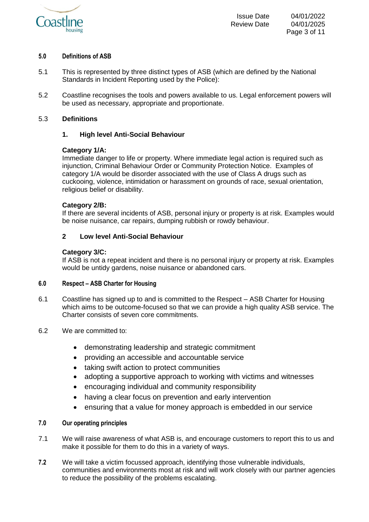

# **5.0 Definitions of ASB**

- 5.1 This is represented by three distinct types of ASB (which are defined by the National Standards in Incident Reporting used by the Police):
- 5.2 Coastline recognises the tools and powers available to us. Legal enforcement powers will be used as necessary, appropriate and proportionate.

# 5.3 **Definitions**

# **1. High level Anti-Social Behaviour**

# **Category 1/A:**

Immediate danger to life or property. Where immediate legal action is required such as injunction, Criminal Behaviour Order or Community Protection Notice. Examples of category 1/A would be disorder associated with the use of Class A drugs such as cuckooing, violence, intimidation or harassment on grounds of race, sexual orientation, religious belief or disability.

# **Category 2/B:**

If there are several incidents of ASB, personal injury or property is at risk. Examples would be noise nuisance, car repairs, dumping rubbish or rowdy behaviour.

# **2 Low level Anti-Social Behaviour**

# **Category 3/C:**

If ASB is not a repeat incident and there is no personal injury or property at risk. Examples would be untidy gardens, noise nuisance or abandoned cars.

#### **6.0 Respect – ASB Charter for Housing**

- 6.1 Coastline has signed up to and is committed to the Respect ASB Charter for Housing which aims to be outcome-focused so that we can provide a high quality ASB service. The Charter consists of seven core commitments.
- 6.2 We are committed to:
	- demonstrating leadership and strategic commitment
	- providing an accessible and accountable service
	- taking swift action to protect communities
	- adopting a supportive approach to working with victims and witnesses
	- encouraging individual and community responsibility
	- having a clear focus on prevention and early intervention
	- ensuring that a value for money approach is embedded in our service

# **7.0 Our operating principles**

- 7.1 We will raise awareness of what ASB is, and encourage customers to report this to us and make it possible for them to do this in a variety of ways.
- **7.2** We will take a victim focussed approach, identifying those vulnerable individuals, communities and environments most at risk and will work closely with our partner agencies to reduce the possibility of the problems escalating.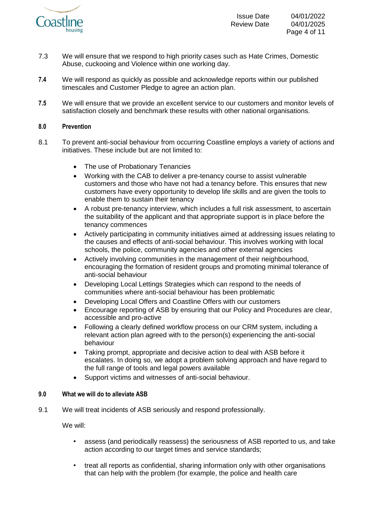

- 7.3 We will ensure that we respond to high priority cases such as Hate Crimes, Domestic Abuse, cuckooing and Violence within one working day.
- **7.4** We will respond as quickly as possible and acknowledge reports within our published timescales and Customer Pledge to agree an action plan.
- **7.5** We will ensure that we provide an excellent service to our customers and monitor levels of satisfaction closely and benchmark these results with other national organisations.

# **8.0 Prevention**

- 8.1 To prevent anti-social behaviour from occurring Coastline employs a variety of actions and initiatives. These include but are not limited to:
	- The use of Probationary Tenancies
	- Working with the CAB to deliver a pre-tenancy course to assist vulnerable customers and those who have not had a tenancy before. This ensures that new customers have every opportunity to develop life skills and are given the tools to enable them to sustain their tenancy
	- A robust pre-tenancy interview, which includes a full risk assessment, to ascertain the suitability of the applicant and that appropriate support is in place before the tenancy commences
	- Actively participating in community initiatives aimed at addressing issues relating to the causes and effects of anti-social behaviour. This involves working with local schools, the police, community agencies and other external agencies
	- Actively involving communities in the management of their neighbourhood, encouraging the formation of resident groups and promoting minimal tolerance of anti-social behaviour
	- Developing Local Lettings Strategies which can respond to the needs of communities where anti-social behaviour has been problematic
	- Developing Local Offers and Coastline Offers with our customers
	- Encourage reporting of ASB by ensuring that our Policy and Procedures are clear, accessible and pro-active
	- Following a clearly defined workflow process on our CRM system, including a relevant action plan agreed with to the person(s) experiencing the anti-social behaviour
	- Taking prompt, appropriate and decisive action to deal with ASB before it escalates. In doing so, we adopt a problem solving approach and have regard to the full range of tools and legal powers available
	- Support victims and witnesses of anti-social behaviour.

#### **9.0 What we will do to alleviate ASB**

9.1 We will treat incidents of ASB seriously and respond professionally.

We will:

- assess (and periodically reassess) the seriousness of ASB reported to us, and take action according to our target times and service standards;
- treat all reports as confidential, sharing information only with other organisations that can help with the problem (for example, the police and health care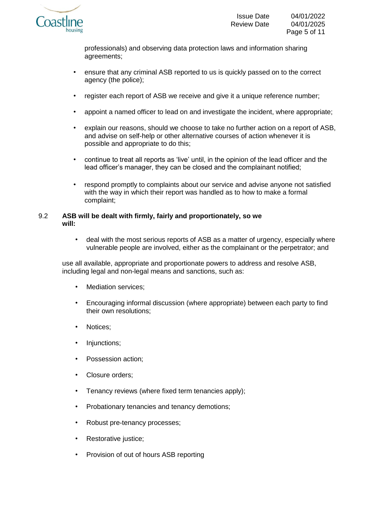

professionals) and observing data protection laws and information sharing agreements;

- ensure that any criminal ASB reported to us is quickly passed on to the correct agency (the police);
- register each report of ASB we receive and give it a unique reference number;
- appoint a named officer to lead on and investigate the incident, where appropriate;
- explain our reasons, should we choose to take no further action on a report of ASB, and advise on self-help or other alternative courses of action whenever it is possible and appropriate to do this;
- continue to treat all reports as 'live' until, in the opinion of the lead officer and the lead officer's manager, they can be closed and the complainant notified;
- respond promptly to complaints about our service and advise anyone not satisfied with the way in which their report was handled as to how to make a formal complaint;

# 9.2 **ASB will be dealt with firmly, fairly and proportionately, so we will:**

• deal with the most serious reports of ASB as a matter of urgency, especially where vulnerable people are involved, either as the complainant or the perpetrator; and

use all available, appropriate and proportionate powers to address and resolve ASB, including legal and non-legal means and sanctions, such as:

- Mediation services:
- Encouraging informal discussion (where appropriate) between each party to find their own resolutions;
- Notices:
- Iniunctions:
- Possession action;
- Closure orders;
- Tenancy reviews (where fixed term tenancies apply);
- Probationary tenancies and tenancy demotions;
- Robust pre-tenancy processes;
- Restorative justice;
- Provision of out of hours ASB reporting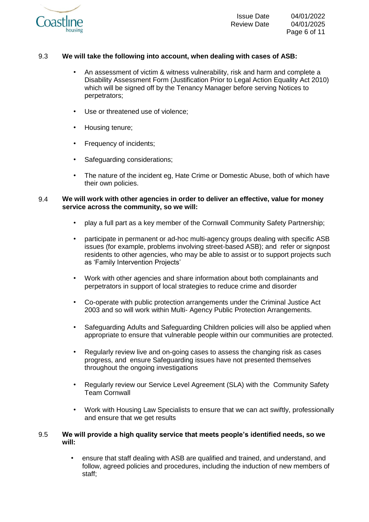

# 9.3 **We will take the following into account, when dealing with cases of ASB:**

- An assessment of victim & witness vulnerability, risk and harm and complete a Disability Assessment Form (Justification Prior to Legal Action Equality Act 2010) which will be signed off by the Tenancy Manager before serving Notices to perpetrators;
- Use or threatened use of violence:
- Housing tenure;
- Frequency of incidents;
- Safeguarding considerations;
- The nature of the incident eg, Hate Crime or Domestic Abuse, both of which have their own policies.

# 9.4 **We will work with other agencies in order to deliver an effective, value for money service across the community, so we will:**

- play a full part as a key member of the Cornwall Community Safety Partnership;
- participate in permanent or ad-hoc multi-agency groups dealing with specific ASB issues (for example, problems involving street-based ASB); and refer or signpost residents to other agencies, who may be able to assist or to support projects such as 'Family Intervention Projects'
- Work with other agencies and share information about both complainants and perpetrators in support of local strategies to reduce crime and disorder
- Co-operate with public protection arrangements under the Criminal Justice Act 2003 and so will work within Multi- Agency Public Protection Arrangements.
- Safeguarding Adults and Safeguarding Children policies will also be applied when appropriate to ensure that vulnerable people within our communities are protected.
- Regularly review live and on-going cases to assess the changing risk as cases progress, and ensure Safeguarding issues have not presented themselves throughout the ongoing investigations
- Regularly review our Service Level Agreement (SLA) with the Community Safety Team Cornwall
- Work with Housing Law Specialists to ensure that we can act swiftly, professionally and ensure that we get results

# 9.5 **We will provide a high quality service that meets people's identified needs, so we will:**

• ensure that staff dealing with ASB are qualified and trained, and understand, and follow, agreed policies and procedures, including the induction of new members of staff;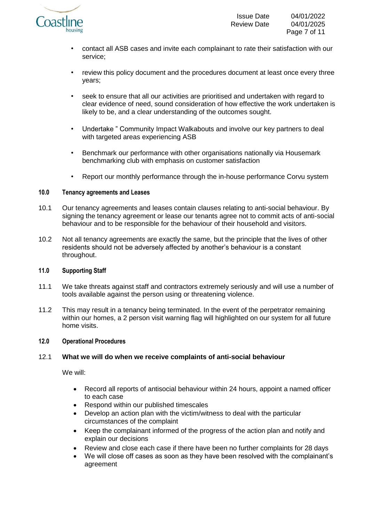

- contact all ASB cases and invite each complainant to rate their satisfaction with our service;
- review this policy document and the procedures document at least once every three years;
- seek to ensure that all our activities are prioritised and undertaken with regard to clear evidence of need, sound consideration of how effective the work undertaken is likely to be, and a clear understanding of the outcomes sought.
- Undertake " Community Impact Walkabouts and involve our key partners to deal with targeted areas experiencing ASB
- Benchmark our performance with other organisations nationally via Housemark benchmarking club with emphasis on customer satisfaction
- Report our monthly performance through the in-house performance Corvu system

# **10.0 Tenancy agreements and Leases**

- 10.1 Our tenancy agreements and leases contain clauses relating to anti-social behaviour. By signing the tenancy agreement or lease our tenants agree not to commit acts of anti-social behaviour and to be responsible for the behaviour of their household and visitors.
- 10.2 Not all tenancy agreements are exactly the same, but the principle that the lives of other residents should not be adversely affected by another's behaviour is a constant throughout.

#### **11.0 Supporting Staff**

- 11.1 We take threats against staff and contractors extremely seriously and will use a number of tools available against the person using or threatening violence.
- 11.2 This may result in a tenancy being terminated. In the event of the perpetrator remaining within our homes, a 2 person visit warning flag will highlighted on our system for all future home visits.

#### **12.0 Operational Procedures**

# 12.1 **What we will do when we receive complaints of anti-social behaviour**

We will:

- Record all reports of antisocial behaviour within 24 hours, appoint a named officer to each case
- Respond within our published timescales
- Develop an action plan with the victim/witness to deal with the particular circumstances of the complaint
- Keep the complainant informed of the progress of the action plan and notify and explain our decisions
- Review and close each case if there have been no further complaints for 28 days
- We will close off cases as soon as they have been resolved with the complainant's agreement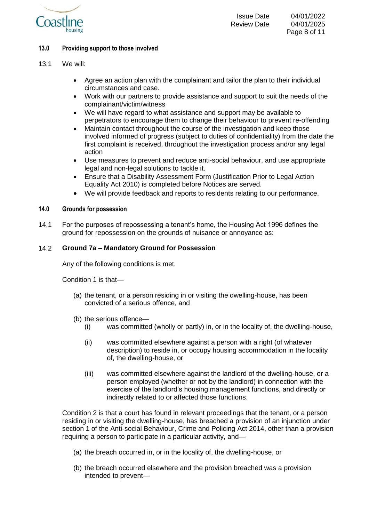

- 13.1 We will:
	- Agree an action plan with the complainant and tailor the plan to their individual circumstances and case.
	- Work with our partners to provide assistance and support to suit the needs of the complainant/victim/witness
	- We will have regard to what assistance and support may be available to perpetrators to encourage them to change their behaviour to prevent re-offending
	- Maintain contact throughout the course of the investigation and keep those involved informed of progress (subject to duties of confidentiality) from the date the first complaint is received, throughout the investigation process and/or any legal action
	- Use measures to prevent and reduce anti-social behaviour, and use appropriate legal and non-legal solutions to tackle it.
	- Ensure that a Disability Assessment Form (Justification Prior to Legal Action Equality Act 2010) is completed before Notices are served.
	- We will provide feedback and reports to residents relating to our performance.

#### **14.0 Grounds for possession**

14.1 For the purposes of repossessing a tenant's home, the Housing Act 1996 defines the ground for repossession on the grounds of nuisance or annoyance as:

# 14.2 **Ground 7a – Mandatory Ground for Possession**

Any of the following conditions is met.

Condition 1 is that—

- (a) the tenant, or a person residing in or visiting the dwelling-house, has been convicted of a serious offence, and
- (b) the serious offence—
	- (i) was committed (wholly or partly) in, or in the locality of, the dwelling-house,
	- (ii) was committed elsewhere against a person with a right (of whatever description) to reside in, or occupy housing accommodation in the locality of, the dwelling-house, or
	- (iii) was committed elsewhere against the landlord of the dwelling-house, or a person employed (whether or not by the landlord) in connection with the exercise of the landlord's housing management functions, and directly or indirectly related to or affected those functions.

Condition 2 is that a court has found in relevant proceedings that the tenant, or a person residing in or visiting the dwelling-house, has breached a provision of an injunction under section 1 of the Anti-social Behaviour, Crime and Policing Act 2014, other than a provision requiring a person to participate in a particular activity, and—

- (a) the breach occurred in, or in the locality of, the dwelling-house, or
- (b) the breach occurred elsewhere and the provision breached was a provision intended to prevent—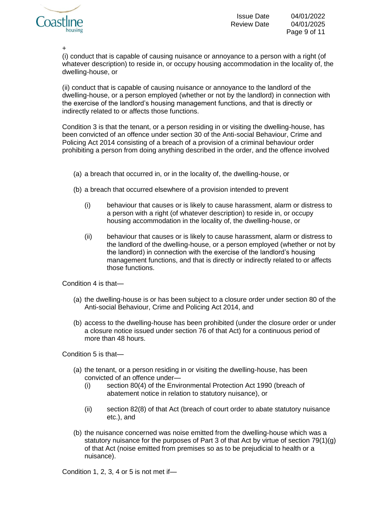

Page 9 of 11

+

(i) conduct that is capable of causing nuisance or annoyance to a person with a right (of whatever description) to reside in, or occupy housing accommodation in the locality of, the dwelling-house, or

(ii) conduct that is capable of causing nuisance or annoyance to the landlord of the dwelling-house, or a person employed (whether or not by the landlord) in connection with the exercise of the landlord's housing management functions, and that is directly or indirectly related to or affects those functions.

Condition 3 is that the tenant, or a person residing in or visiting the dwelling-house, has been convicted of an offence under section 30 of the Anti-social Behaviour, Crime and Policing Act 2014 consisting of a breach of a provision of a criminal behaviour order prohibiting a person from doing anything described in the order, and the offence involved

- (a) a breach that occurred in, or in the locality of, the dwelling-house, or
- (b) a breach that occurred elsewhere of a provision intended to prevent
	- (i) behaviour that causes or is likely to cause harassment, alarm or distress to a person with a right (of whatever description) to reside in, or occupy housing accommodation in the locality of, the dwelling-house, or
	- (ii) behaviour that causes or is likely to cause harassment, alarm or distress to the landlord of the dwelling-house, or a person employed (whether or not by the landlord) in connection with the exercise of the landlord's housing management functions, and that is directly or indirectly related to or affects those functions.

Condition 4 is that—

- (a) the dwelling-house is or has been subject to a closure order under section 80 of the Anti-social Behaviour, Crime and Policing Act 2014, and
- (b) access to the dwelling-house has been prohibited (under the closure order or under a closure notice issued under section 76 of that Act) for a continuous period of more than 48 hours.

Condition 5 is that—

- (a) the tenant, or a person residing in or visiting the dwelling-house, has been convicted of an offence under—
	- (i) section 80(4) of the Environmental Protection Act 1990 (breach of abatement notice in relation to statutory nuisance), or
	- (ii) section 82(8) of that Act (breach of court order to abate statutory nuisance etc.), and
- (b) the nuisance concerned was noise emitted from the dwelling-house which was a statutory nuisance for the purposes of Part 3 of that Act by virtue of section 79(1)(g) of that Act (noise emitted from premises so as to be prejudicial to health or a nuisance).

Condition 1, 2, 3, 4 or 5 is not met if—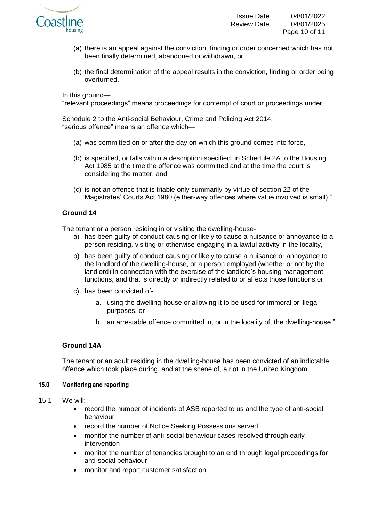

- (a) there is an appeal against the conviction, finding or order concerned which has not been finally determined, abandoned or withdrawn, or
- (b) the final determination of the appeal results in the conviction, finding or order being overturned.

In this ground—

"relevant proceedings" means proceedings for contempt of court or proceedings under

Schedule 2 to the Anti-social Behaviour, Crime and Policing Act 2014; "serious offence" means an offence which—

- (a) was committed on or after the day on which this ground comes into force,
- (b) is specified, or falls within a description specified, in Schedule 2A to the Housing Act 1985 at the time the offence was committed and at the time the court is considering the matter, and
- (c) is not an offence that is triable only summarily by virtue of section 22 of the Magistrates' Courts Act 1980 (either-way offences where value involved is small)."

# **Ground 14**

The tenant or a person residing in or visiting the dwelling-house-

- a) has been guilty of conduct causing or likely to cause a nuisance or annoyance to a person residing, visiting or otherwise engaging in a lawful activity in the locality,
- b) has been guilty of conduct causing or likely to cause a nuisance or annoyance to the landlord of the dwelling-house, or a person employed (whether or not by the landlord) in connection with the exercise of the landlord's housing management functions, and that is directly or indirectly related to or affects those functions,or
- c) has been convicted of
	- a. using the dwelling-house or allowing it to be used for immoral or illegal purposes, or
	- b. an arrestable offence committed in, or in the locality of, the dwelling-house."

# **Ground 14A**

The tenant or an adult residing in the dwelling-house has been convicted of an indictable offence which took place during, and at the scene of, a riot in the United Kingdom.

#### **15.0 Monitoring and reporting**

- 15.1 We will:
	- record the number of incidents of ASB reported to us and the type of anti-social behaviour
	- record the number of Notice Seeking Possessions served
	- monitor the number of anti-social behaviour cases resolved through early intervention
	- monitor the number of tenancies brought to an end through legal proceedings for anti-social behaviour
	- monitor and report customer satisfaction